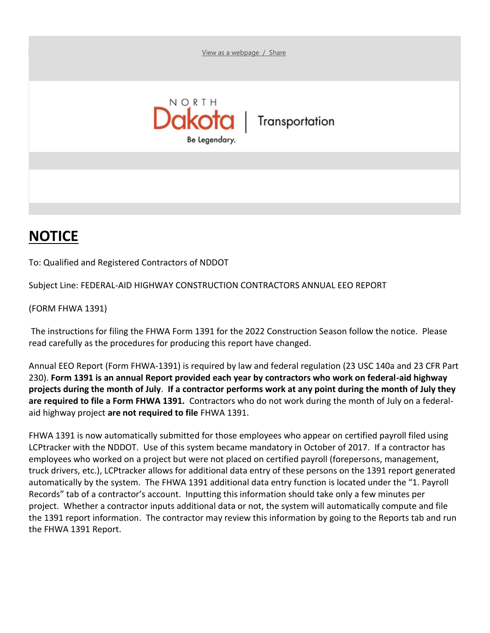[View as a webpage](%20) / Share



Transportation

## **NOTICE**

To: Qualified and Registered Contractors of NDDOT

Subject Line: FEDERAL-AID HIGHWAY CONSTRUCTION CONTRACTORS ANNUAL EEO REPORT

(FORM FHWA 1391)

The instructions for filing the FHWA Form 1391 for the 2022 Construction Season follow the notice. Please read carefully as the procedures for producing this report have changed.

Annual EEO Report (Form FHWA-1391) is required by law and federal regulation (23 USC 140a and 23 CFR Part 230). **Form 1391 is an annual Report provided each year by contractors who work on federal-aid highway projects during the month of July**. **If a contractor performs work at any point during the month of July they are required to file a Form FHWA 1391.** Contractors who do not work during the month of July on a federalaid highway project **are not required to file** FHWA 1391.

FHWA 1391 is now automatically submitted for those employees who appear on certified payroll filed using LCPtracker with the NDDOT. Use of this system became mandatory in October of 2017. If a contractor has employees who worked on a project but were not placed on certified payroll (forepersons, management, truck drivers, etc.), LCPtracker allows for additional data entry of these persons on the 1391 report generated automatically by the system. The FHWA 1391 additional data entry function is located under the "1. Payroll Records" tab of a contractor's account. Inputting this information should take only a few minutes per project. Whether a contractor inputs additional data or not, the system will automatically compute and file the 1391 report information. The contractor may review this information by going to the Reports tab and run the FHWA 1391 Report.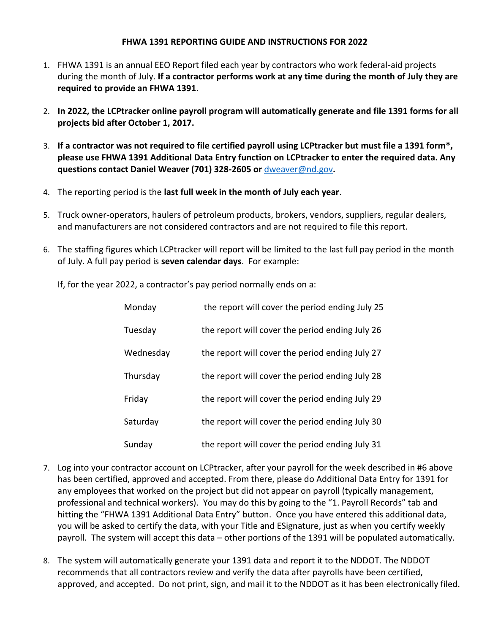## **FHWA 1391 REPORTING GUIDE AND INSTRUCTIONS FOR 2022**

- 1. FHWA 1391 is an annual EEO Report filed each year by contractors who work federal-aid projects during the month of July. **If a contractor performs work at any time during the month of July they are required to provide an FHWA 1391**.
- 2. **In 2022, the LCPtracker online payroll program will automatically generate and file 1391 forms for all projects bid after October 1, 2017.**
- 3. **If a contractor was not required to file certified payroll using LCPtracker but must file a 1391 form\*, please use FHWA 1391 Additional Data Entry function on LCPtracker to enter the required data. Any questions contact Daniel Weaver (701) 328-2605 or** [dweaver@nd.gov](mailto:dweaver@nd.gov)**.**
- 4. The reporting period is the **last full week in the month of July each year**.
- 5. Truck owner-operators, haulers of petroleum products, brokers, vendors, suppliers, regular dealers, and manufacturers are not considered contractors and are not required to file this report.
- 6. The staffing figures which LCPtracker will report will be limited to the last full pay period in the month of July. A full pay period is **seven calendar days**. For example:

If, for the year 2022, a contractor's pay period normally ends on a:

| Monday    | the report will cover the period ending July 25 |
|-----------|-------------------------------------------------|
| Tuesday   | the report will cover the period ending July 26 |
| Wednesday | the report will cover the period ending July 27 |
| Thursday  | the report will cover the period ending July 28 |
| Friday    | the report will cover the period ending July 29 |
| Saturday  | the report will cover the period ending July 30 |
| Sunday    | the report will cover the period ending July 31 |

- 7. Log into your contractor account on LCPtracker, after your payroll for the week described in #6 above has been certified, approved and accepted. From there, please do Additional Data Entry for 1391 for any employees that worked on the project but did not appear on payroll (typically management, professional and technical workers). You may do this by going to the "1. Payroll Records" tab and hitting the "FHWA 1391 Additional Data Entry" button. Once you have entered this additional data, you will be asked to certify the data, with your Title and ESignature, just as when you certify weekly payroll. The system will accept this data – other portions of the 1391 will be populated automatically.
- 8. The system will automatically generate your 1391 data and report it to the NDDOT. The NDDOT recommends that all contractors review and verify the data after payrolls have been certified, approved, and accepted. Do not print, sign, and mail it to the NDDOT as it has been electronically filed.